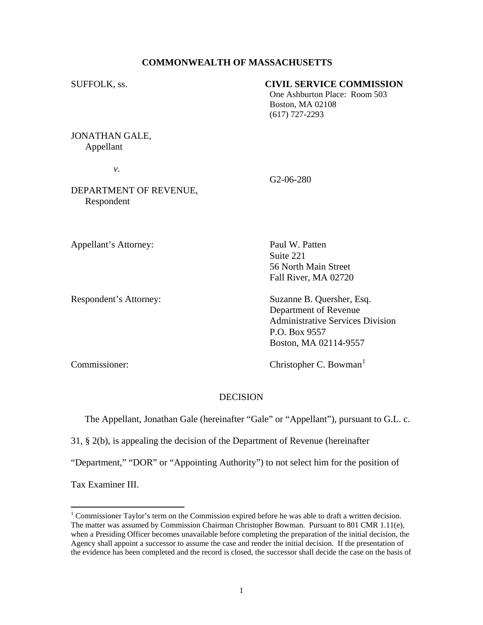# **COMMONWEALTH OF MASSACHUSETTS**

# SUFFOLK, ss. **CIVIL SERVICE COMMISSION**

One Ashburton Place: Room 503 Boston, MA 02108 (617) 727-2293

JONATHAN GALE, Appellant

 *v.* 

G2-06-280

DEPARTMENT OF REVENUE, Respondent

Appellant's Attorney: Paul W. Patten

 Suite 221 56 North Main Street Fall River, MA 02720

Respondent's Attorney: Suzanne B. Quersher, Esq. Department of Revenue Administrative Services Division P.O. Box 9557 Boston, MA 02114-9557

Commissioner: Christopher C. Bowman<sup>[1](#page-0-0)</sup>

# DECISION

The Appellant, Jonathan Gale (hereinafter "Gale" or "Appellant"), pursuant to G.L. c.

31, § 2(b), is appealing the decision of the Department of Revenue (hereinafter

"Department," "DOR" or "Appointing Authority") to not select him for the position of

Tax Examiner III.

 $\overline{a}$ 

<span id="page-0-0"></span> $1$  Commissioner Taylor's term on the Commission expired before he was able to draft a written decision. The matter was assumed by Commission Chairman Christopher Bowman. Pursuant to 801 CMR 1.11(e), when a Presiding Officer becomes unavailable before completing the preparation of the initial decision, the Agency shall appoint a successor to assume the case and render the initial decision. If the presentation of the evidence has been completed and the record is closed, the successor shall decide the case on the basis of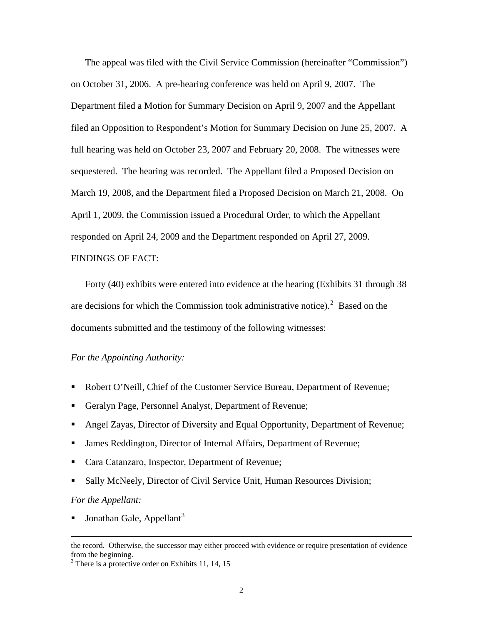The appeal was filed with the Civil Service Commission (hereinafter "Commission") on October 31, 2006. A pre-hearing conference was held on April 9, 2007. The Department filed a Motion for Summary Decision on April 9, 2007 and the Appellant filed an Opposition to Respondent's Motion for Summary Decision on June 25, 2007. A full hearing was held on October 23, 2007 and February 20, 2008. The witnesses were sequestered. The hearing was recorded. The Appellant filed a Proposed Decision on March 19, 2008, and the Department filed a Proposed Decision on March 21, 2008. On April 1, 2009, the Commission issued a Procedural Order, to which the Appellant responded on April 24, 2009 and the Department responded on April 27, 2009. FINDINGS OF FACT:

 Forty (40) exhibits were entered into evidence at the hearing (Exhibits 31 through 38 are decisions for which the Commission took administrative notice). $2$  Based on the documents submitted and the testimony of the following witnesses:

# *For the Appointing Authority:*

- Robert O'Neill, Chief of the Customer Service Bureau, Department of Revenue;
- Geralyn Page, Personnel Analyst, Department of Revenue;
- Angel Zayas, Director of Diversity and Equal Opportunity, Department of Revenue;
- James Reddington, Director of Internal Affairs, Department of Revenue;
- Cara Catanzaro, Inspector, Department of Revenue;
- Sally McNeely, Director of Civil Service Unit, Human Resources Division;

#### *For the Appellant:*

Jonathan Gale, Appellant $3$ 

the record. Otherwise, the successor may either proceed with evidence or require presentation of evidence from the beginning.

<span id="page-1-0"></span><sup>&</sup>lt;sup>2</sup> There is a protective order on Exhibits 11, 14, 15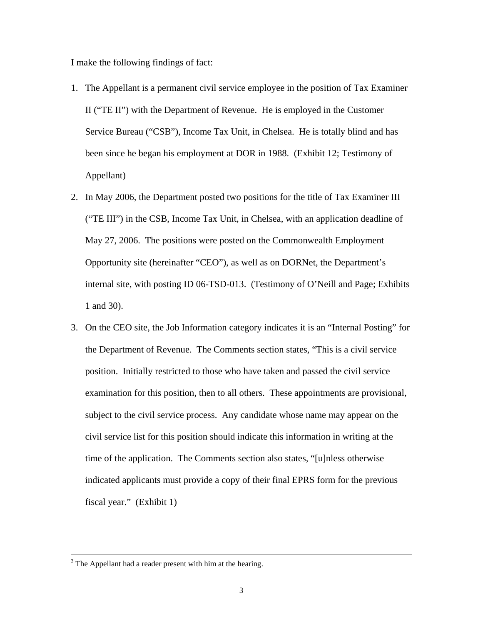I make the following findings of fact:

- 1. The Appellant is a permanent civil service employee in the position of Tax Examiner II ("TE II") with the Department of Revenue. He is employed in the Customer Service Bureau ("CSB"), Income Tax Unit, in Chelsea. He is totally blind and has been since he began his employment at DOR in 1988. (Exhibit 12; Testimony of Appellant)
- 2. In May 2006, the Department posted two positions for the title of Tax Examiner III ("TE III") in the CSB, Income Tax Unit, in Chelsea, with an application deadline of May 27, 2006. The positions were posted on the Commonwealth Employment Opportunity site (hereinafter "CEO"), as well as on DORNet, the Department's internal site, with posting ID 06-TSD-013. (Testimony of O'Neill and Page; Exhibits 1 and 30).
- 3. On the CEO site, the Job Information category indicates it is an "Internal Posting" for the Department of Revenue. The Comments section states, "This is a civil service position. Initially restricted to those who have taken and passed the civil service examination for this position, then to all others. These appointments are provisional, subject to the civil service process. Any candidate whose name may appear on the civil service list for this position should indicate this information in writing at the time of the application. The Comments section also states, "[u]nless otherwise indicated applicants must provide a copy of their final EPRS form for the previous fiscal year." (Exhibit 1)

 $\frac{1}{3}$  $3$  The Appellant had a reader present with him at the hearing.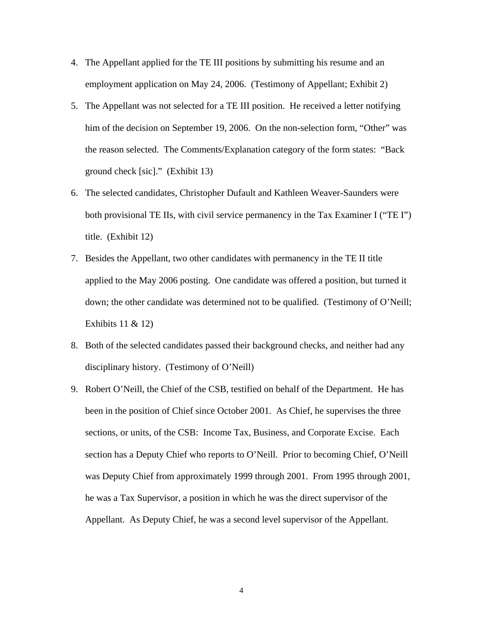- 4. The Appellant applied for the TE III positions by submitting his resume and an employment application on May 24, 2006. (Testimony of Appellant; Exhibit 2)
- 5. The Appellant was not selected for a TE III position. He received a letter notifying him of the decision on September 19, 2006. On the non-selection form, "Other" was the reason selected. The Comments/Explanation category of the form states: "Back ground check [sic]." (Exhibit 13)
- 6. The selected candidates, Christopher Dufault and Kathleen Weaver-Saunders were both provisional TE IIs, with civil service permanency in the Tax Examiner I ("TE I") title. (Exhibit 12)
- 7. Besides the Appellant, two other candidates with permanency in the TE II title applied to the May 2006 posting. One candidate was offered a position, but turned it down; the other candidate was determined not to be qualified. (Testimony of O'Neill; Exhibits 11 & 12)
- 8. Both of the selected candidates passed their background checks, and neither had any disciplinary history. (Testimony of O'Neill)
- 9. Robert O'Neill, the Chief of the CSB, testified on behalf of the Department. He has been in the position of Chief since October 2001. As Chief, he supervises the three sections, or units, of the CSB: Income Tax, Business, and Corporate Excise. Each section has a Deputy Chief who reports to O'Neill. Prior to becoming Chief, O'Neill was Deputy Chief from approximately 1999 through 2001. From 1995 through 2001, he was a Tax Supervisor, a position in which he was the direct supervisor of the Appellant. As Deputy Chief, he was a second level supervisor of the Appellant.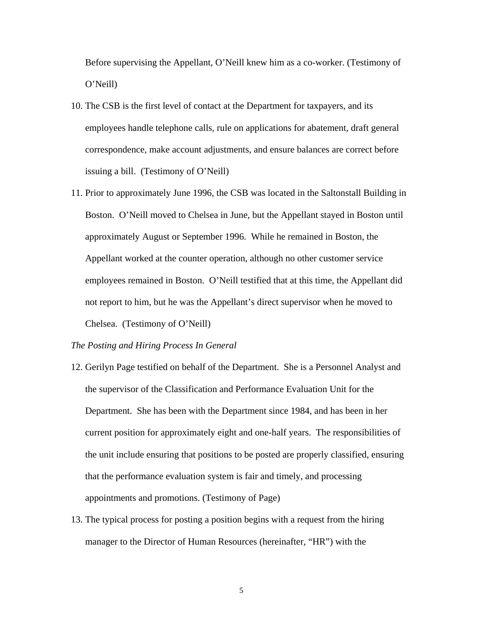Before supervising the Appellant, O'Neill knew him as a co-worker. (Testimony of O'Neill)

- 10. The CSB is the first level of contact at the Department for taxpayers, and its employees handle telephone calls, rule on applications for abatement, draft general correspondence, make account adjustments, and ensure balances are correct before issuing a bill. (Testimony of O'Neill)
- 11. Prior to approximately June 1996, the CSB was located in the Saltonstall Building in Boston. O'Neill moved to Chelsea in June, but the Appellant stayed in Boston until approximately August or September 1996. While he remained in Boston, the Appellant worked at the counter operation, although no other customer service employees remained in Boston. O'Neill testified that at this time, the Appellant did not report to him, but he was the Appellant's direct supervisor when he moved to Chelsea. (Testimony of O'Neill)

## *The Posting and Hiring Process In General*

- 12. Gerilyn Page testified on behalf of the Department. She is a Personnel Analyst and the supervisor of the Classification and Performance Evaluation Unit for the Department. She has been with the Department since 1984, and has been in her current position for approximately eight and one-half years. The responsibilities of the unit include ensuring that positions to be posted are properly classified, ensuring that the performance evaluation system is fair and timely, and processing appointments and promotions. (Testimony of Page)
- 13. The typical process for posting a position begins with a request from the hiring manager to the Director of Human Resources (hereinafter, "HR") with the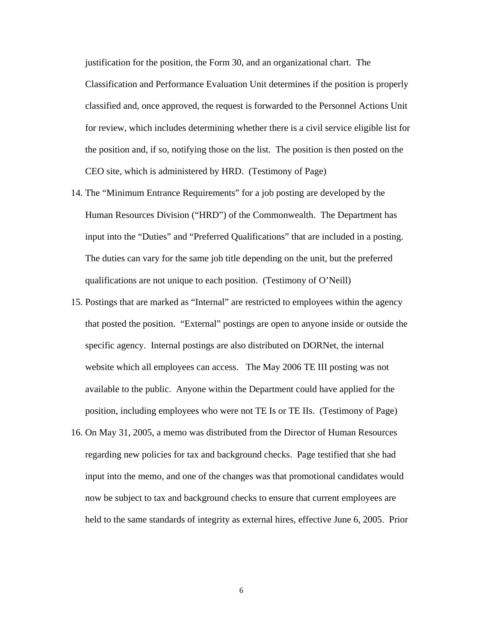justification for the position, the Form 30, and an organizational chart. The Classification and Performance Evaluation Unit determines if the position is properly classified and, once approved, the request is forwarded to the Personnel Actions Unit for review, which includes determining whether there is a civil service eligible list for the position and, if so, notifying those on the list. The position is then posted on the CEO site, which is administered by HRD. (Testimony of Page)

- 14. The "Minimum Entrance Requirements" for a job posting are developed by the Human Resources Division ("HRD") of the Commonwealth. The Department has input into the "Duties" and "Preferred Qualifications" that are included in a posting. The duties can vary for the same job title depending on the unit, but the preferred qualifications are not unique to each position. (Testimony of O'Neill)
- 15. Postings that are marked as "Internal" are restricted to employees within the agency that posted the position. "External" postings are open to anyone inside or outside the specific agency. Internal postings are also distributed on DORNet, the internal website which all employees can access. The May 2006 TE III posting was not available to the public. Anyone within the Department could have applied for the position, including employees who were not TE Is or TE IIs. (Testimony of Page)
- 16. On May 31, 2005, a memo was distributed from the Director of Human Resources regarding new policies for tax and background checks. Page testified that she had input into the memo, and one of the changes was that promotional candidates would now be subject to tax and background checks to ensure that current employees are held to the same standards of integrity as external hires, effective June 6, 2005. Prior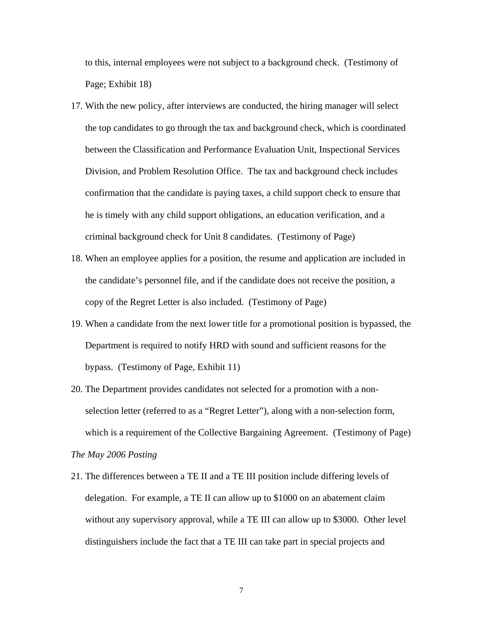to this, internal employees were not subject to a background check. (Testimony of Page; Exhibit 18)

- 17. With the new policy, after interviews are conducted, the hiring manager will select the top candidates to go through the tax and background check, which is coordinated between the Classification and Performance Evaluation Unit, Inspectional Services Division, and Problem Resolution Office. The tax and background check includes confirmation that the candidate is paying taxes, a child support check to ensure that he is timely with any child support obligations, an education verification, and a criminal background check for Unit 8 candidates. (Testimony of Page)
- 18. When an employee applies for a position, the resume and application are included in the candidate's personnel file, and if the candidate does not receive the position, a copy of the Regret Letter is also included. (Testimony of Page)
- 19. When a candidate from the next lower title for a promotional position is bypassed, the Department is required to notify HRD with sound and sufficient reasons for the bypass. (Testimony of Page, Exhibit 11)
- 20. The Department provides candidates not selected for a promotion with a nonselection letter (referred to as a "Regret Letter"), along with a non-selection form, which is a requirement of the Collective Bargaining Agreement. (Testimony of Page)

## *The May 2006 Posting*

21. The differences between a TE II and a TE III position include differing levels of delegation. For example, a TE II can allow up to \$1000 on an abatement claim without any supervisory approval, while a TE III can allow up to \$3000. Other level distinguishers include the fact that a TE III can take part in special projects and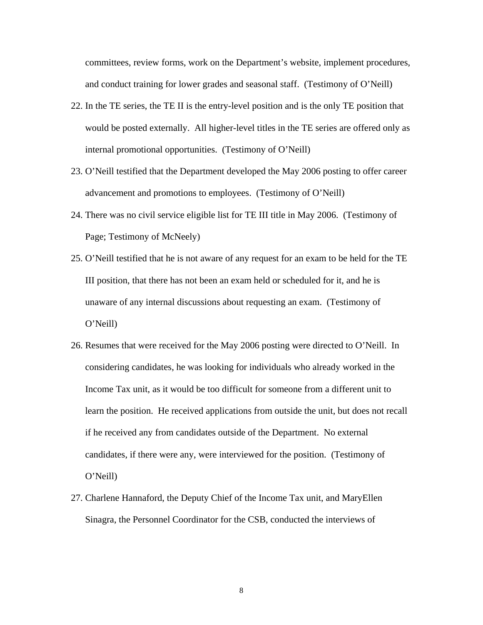committees, review forms, work on the Department's website, implement procedures, and conduct training for lower grades and seasonal staff. (Testimony of O'Neill)

- 22. In the TE series, the TE II is the entry-level position and is the only TE position that would be posted externally. All higher-level titles in the TE series are offered only as internal promotional opportunities. (Testimony of O'Neill)
- 23. O'Neill testified that the Department developed the May 2006 posting to offer career advancement and promotions to employees. (Testimony of O'Neill)
- 24. There was no civil service eligible list for TE III title in May 2006. (Testimony of Page; Testimony of McNeely)
- 25. O'Neill testified that he is not aware of any request for an exam to be held for the TE III position, that there has not been an exam held or scheduled for it, and he is unaware of any internal discussions about requesting an exam. (Testimony of O'Neill)
- 26. Resumes that were received for the May 2006 posting were directed to O'Neill. In considering candidates, he was looking for individuals who already worked in the Income Tax unit, as it would be too difficult for someone from a different unit to learn the position. He received applications from outside the unit, but does not recall if he received any from candidates outside of the Department. No external candidates, if there were any, were interviewed for the position. (Testimony of O'Neill)
- 27. Charlene Hannaford, the Deputy Chief of the Income Tax unit, and MaryEllen Sinagra, the Personnel Coordinator for the CSB, conducted the interviews of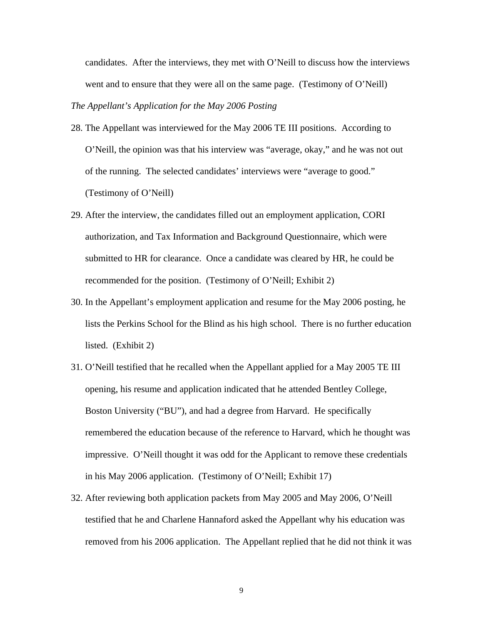candidates. After the interviews, they met with O'Neill to discuss how the interviews went and to ensure that they were all on the same page. (Testimony of O'Neill)

## *The Appellant's Application for the May 2006 Posting*

- 28. The Appellant was interviewed for the May 2006 TE III positions. According to O'Neill, the opinion was that his interview was "average, okay," and he was not out of the running. The selected candidates' interviews were "average to good." (Testimony of O'Neill)
- 29. After the interview, the candidates filled out an employment application, CORI authorization, and Tax Information and Background Questionnaire, which were submitted to HR for clearance. Once a candidate was cleared by HR, he could be recommended for the position. (Testimony of O'Neill; Exhibit 2)
- 30. In the Appellant's employment application and resume for the May 2006 posting, he lists the Perkins School for the Blind as his high school. There is no further education listed. (Exhibit 2)
- 31. O'Neill testified that he recalled when the Appellant applied for a May 2005 TE III opening, his resume and application indicated that he attended Bentley College, Boston University ("BU"), and had a degree from Harvard. He specifically remembered the education because of the reference to Harvard, which he thought was impressive. O'Neill thought it was odd for the Applicant to remove these credentials in his May 2006 application. (Testimony of O'Neill; Exhibit 17)
- 32. After reviewing both application packets from May 2005 and May 2006, O'Neill testified that he and Charlene Hannaford asked the Appellant why his education was removed from his 2006 application. The Appellant replied that he did not think it was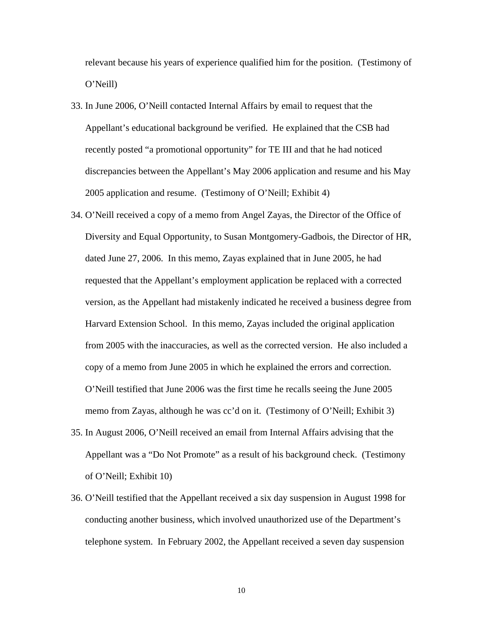relevant because his years of experience qualified him for the position. (Testimony of O'Neill)

- 33. In June 2006, O'Neill contacted Internal Affairs by email to request that the Appellant's educational background be verified. He explained that the CSB had recently posted "a promotional opportunity" for TE III and that he had noticed discrepancies between the Appellant's May 2006 application and resume and his May 2005 application and resume. (Testimony of O'Neill; Exhibit 4)
- 34. O'Neill received a copy of a memo from Angel Zayas, the Director of the Office of Diversity and Equal Opportunity, to Susan Montgomery-Gadbois, the Director of HR, dated June 27, 2006. In this memo, Zayas explained that in June 2005, he had requested that the Appellant's employment application be replaced with a corrected version, as the Appellant had mistakenly indicated he received a business degree from Harvard Extension School. In this memo, Zayas included the original application from 2005 with the inaccuracies, as well as the corrected version. He also included a copy of a memo from June 2005 in which he explained the errors and correction. O'Neill testified that June 2006 was the first time he recalls seeing the June 2005 memo from Zayas, although he was cc'd on it. (Testimony of O'Neill; Exhibit 3)
- 35. In August 2006, O'Neill received an email from Internal Affairs advising that the Appellant was a "Do Not Promote" as a result of his background check. (Testimony of O'Neill; Exhibit 10)
- 36. O'Neill testified that the Appellant received a six day suspension in August 1998 for conducting another business, which involved unauthorized use of the Department's telephone system. In February 2002, the Appellant received a seven day suspension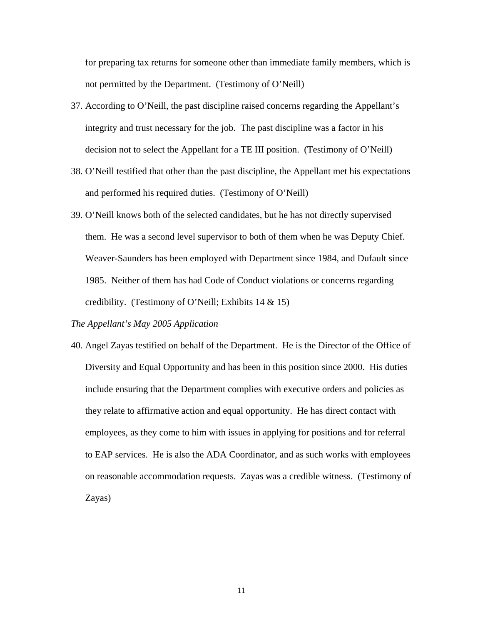for preparing tax returns for someone other than immediate family members, which is not permitted by the Department. (Testimony of O'Neill)

- 37. According to O'Neill, the past discipline raised concerns regarding the Appellant's integrity and trust necessary for the job. The past discipline was a factor in his decision not to select the Appellant for a TE III position. (Testimony of O'Neill)
- 38. O'Neill testified that other than the past discipline, the Appellant met his expectations and performed his required duties. (Testimony of O'Neill)
- 39. O'Neill knows both of the selected candidates, but he has not directly supervised them. He was a second level supervisor to both of them when he was Deputy Chief. Weaver-Saunders has been employed with Department since 1984, and Dufault since 1985. Neither of them has had Code of Conduct violations or concerns regarding credibility. (Testimony of O'Neill; Exhibits 14 & 15)

### *The Appellant's May 2005 Application*

40. Angel Zayas testified on behalf of the Department. He is the Director of the Office of Diversity and Equal Opportunity and has been in this position since 2000. His duties include ensuring that the Department complies with executive orders and policies as they relate to affirmative action and equal opportunity. He has direct contact with employees, as they come to him with issues in applying for positions and for referral to EAP services. He is also the ADA Coordinator, and as such works with employees on reasonable accommodation requests. Zayas was a credible witness. (Testimony of Zayas)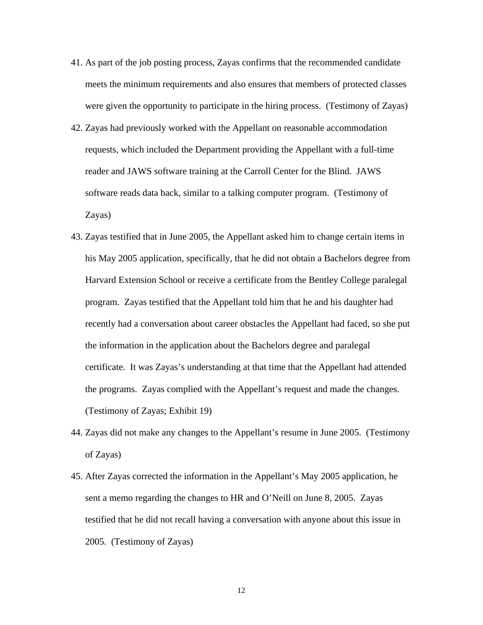- 41. As part of the job posting process, Zayas confirms that the recommended candidate meets the minimum requirements and also ensures that members of protected classes were given the opportunity to participate in the hiring process. (Testimony of Zayas)
- 42. Zayas had previously worked with the Appellant on reasonable accommodation requests, which included the Department providing the Appellant with a full-time reader and JAWS software training at the Carroll Center for the Blind. JAWS software reads data back, similar to a talking computer program. (Testimony of Zayas)
- 43. Zayas testified that in June 2005, the Appellant asked him to change certain items in his May 2005 application, specifically, that he did not obtain a Bachelors degree from Harvard Extension School or receive a certificate from the Bentley College paralegal program. Zayas testified that the Appellant told him that he and his daughter had recently had a conversation about career obstacles the Appellant had faced, so she put the information in the application about the Bachelors degree and paralegal certificate. It was Zayas's understanding at that time that the Appellant had attended the programs. Zayas complied with the Appellant's request and made the changes. (Testimony of Zayas; Exhibit 19)
- 44. Zayas did not make any changes to the Appellant's resume in June 2005. (Testimony of Zayas)
- 45. After Zayas corrected the information in the Appellant's May 2005 application, he sent a memo regarding the changes to HR and O'Neill on June 8, 2005. Zayas testified that he did not recall having a conversation with anyone about this issue in 2005. (Testimony of Zayas)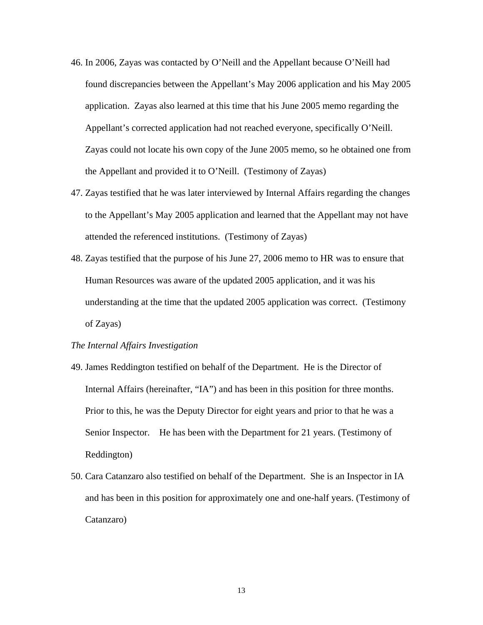- 46. In 2006, Zayas was contacted by O'Neill and the Appellant because O'Neill had found discrepancies between the Appellant's May 2006 application and his May 2005 application. Zayas also learned at this time that his June 2005 memo regarding the Appellant's corrected application had not reached everyone, specifically O'Neill. Zayas could not locate his own copy of the June 2005 memo, so he obtained one from the Appellant and provided it to O'Neill. (Testimony of Zayas)
- 47. Zayas testified that he was later interviewed by Internal Affairs regarding the changes to the Appellant's May 2005 application and learned that the Appellant may not have attended the referenced institutions. (Testimony of Zayas)
- 48. Zayas testified that the purpose of his June 27, 2006 memo to HR was to ensure that Human Resources was aware of the updated 2005 application, and it was his understanding at the time that the updated 2005 application was correct. (Testimony of Zayas)

## *The Internal Affairs Investigation*

- 49. James Reddington testified on behalf of the Department. He is the Director of Internal Affairs (hereinafter, "IA") and has been in this position for three months. Prior to this, he was the Deputy Director for eight years and prior to that he was a Senior Inspector. He has been with the Department for 21 years. (Testimony of Reddington)
- 50. Cara Catanzaro also testified on behalf of the Department. She is an Inspector in IA and has been in this position for approximately one and one-half years. (Testimony of Catanzaro)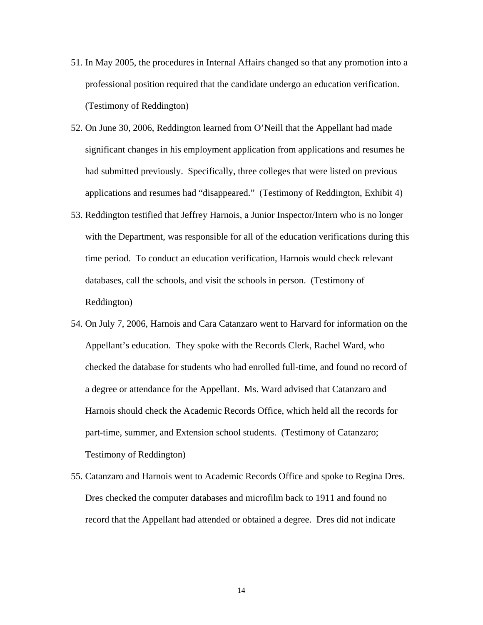- 51. In May 2005, the procedures in Internal Affairs changed so that any promotion into a professional position required that the candidate undergo an education verification. (Testimony of Reddington)
- 52. On June 30, 2006, Reddington learned from O'Neill that the Appellant had made significant changes in his employment application from applications and resumes he had submitted previously. Specifically, three colleges that were listed on previous applications and resumes had "disappeared." (Testimony of Reddington, Exhibit 4)
- 53. Reddington testified that Jeffrey Harnois, a Junior Inspector/Intern who is no longer with the Department, was responsible for all of the education verifications during this time period. To conduct an education verification, Harnois would check relevant databases, call the schools, and visit the schools in person. (Testimony of Reddington)
- 54. On July 7, 2006, Harnois and Cara Catanzaro went to Harvard for information on the Appellant's education. They spoke with the Records Clerk, Rachel Ward, who checked the database for students who had enrolled full-time, and found no record of a degree or attendance for the Appellant. Ms. Ward advised that Catanzaro and Harnois should check the Academic Records Office, which held all the records for part-time, summer, and Extension school students. (Testimony of Catanzaro; Testimony of Reddington)
- 55. Catanzaro and Harnois went to Academic Records Office and spoke to Regina Dres. Dres checked the computer databases and microfilm back to 1911 and found no record that the Appellant had attended or obtained a degree. Dres did not indicate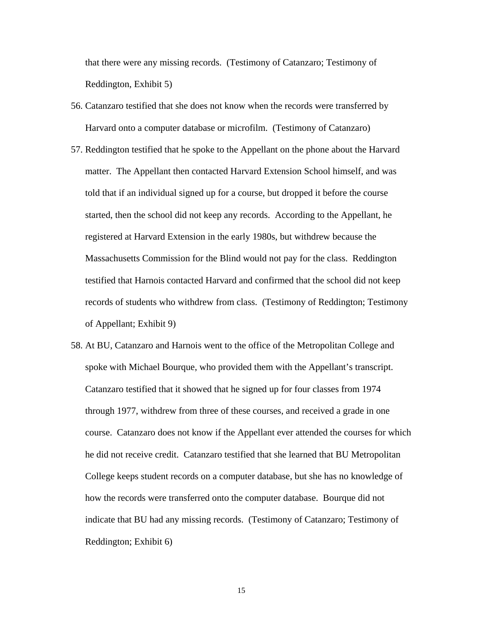that there were any missing records. (Testimony of Catanzaro; Testimony of Reddington, Exhibit 5)

- 56. Catanzaro testified that she does not know when the records were transferred by Harvard onto a computer database or microfilm. (Testimony of Catanzaro)
- 57. Reddington testified that he spoke to the Appellant on the phone about the Harvard matter. The Appellant then contacted Harvard Extension School himself, and was told that if an individual signed up for a course, but dropped it before the course started, then the school did not keep any records. According to the Appellant, he registered at Harvard Extension in the early 1980s, but withdrew because the Massachusetts Commission for the Blind would not pay for the class. Reddington testified that Harnois contacted Harvard and confirmed that the school did not keep records of students who withdrew from class. (Testimony of Reddington; Testimony of Appellant; Exhibit 9)
- 58. At BU, Catanzaro and Harnois went to the office of the Metropolitan College and spoke with Michael Bourque, who provided them with the Appellant's transcript. Catanzaro testified that it showed that he signed up for four classes from 1974 through 1977, withdrew from three of these courses, and received a grade in one course. Catanzaro does not know if the Appellant ever attended the courses for which he did not receive credit. Catanzaro testified that she learned that BU Metropolitan College keeps student records on a computer database, but she has no knowledge of how the records were transferred onto the computer database. Bourque did not indicate that BU had any missing records. (Testimony of Catanzaro; Testimony of Reddington; Exhibit 6)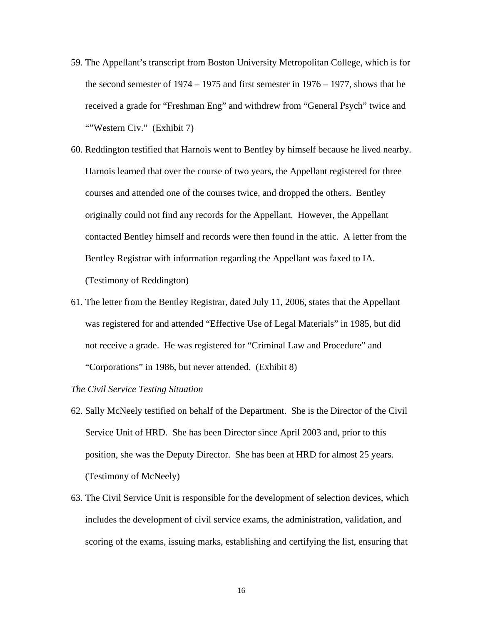- 59. The Appellant's transcript from Boston University Metropolitan College, which is for the second semester of 1974 – 1975 and first semester in 1976 – 1977, shows that he received a grade for "Freshman Eng" and withdrew from "General Psych" twice and ""Western Civ." (Exhibit 7)
- 60. Reddington testified that Harnois went to Bentley by himself because he lived nearby. Harnois learned that over the course of two years, the Appellant registered for three courses and attended one of the courses twice, and dropped the others. Bentley originally could not find any records for the Appellant. However, the Appellant contacted Bentley himself and records were then found in the attic. A letter from the Bentley Registrar with information regarding the Appellant was faxed to IA. (Testimony of Reddington)
- 61. The letter from the Bentley Registrar, dated July 11, 2006, states that the Appellant was registered for and attended "Effective Use of Legal Materials" in 1985, but did not receive a grade. He was registered for "Criminal Law and Procedure" and "Corporations" in 1986, but never attended. (Exhibit 8)

## *The Civil Service Testing Situation*

- 62. Sally McNeely testified on behalf of the Department. She is the Director of the Civil Service Unit of HRD. She has been Director since April 2003 and, prior to this position, she was the Deputy Director. She has been at HRD for almost 25 years. (Testimony of McNeely)
- 63. The Civil Service Unit is responsible for the development of selection devices, which includes the development of civil service exams, the administration, validation, and scoring of the exams, issuing marks, establishing and certifying the list, ensuring that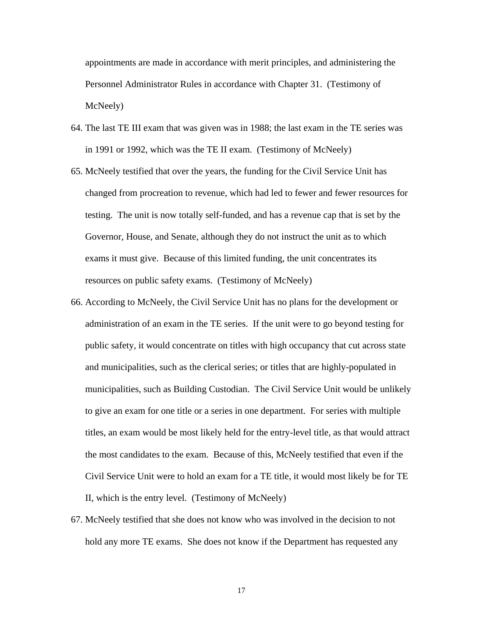appointments are made in accordance with merit principles, and administering the Personnel Administrator Rules in accordance with Chapter 31. (Testimony of McNeely)

- 64. The last TE III exam that was given was in 1988; the last exam in the TE series was in 1991 or 1992, which was the TE II exam. (Testimony of McNeely)
- 65. McNeely testified that over the years, the funding for the Civil Service Unit has changed from procreation to revenue, which had led to fewer and fewer resources for testing. The unit is now totally self-funded, and has a revenue cap that is set by the Governor, House, and Senate, although they do not instruct the unit as to which exams it must give. Because of this limited funding, the unit concentrates its resources on public safety exams. (Testimony of McNeely)
- 66. According to McNeely, the Civil Service Unit has no plans for the development or administration of an exam in the TE series. If the unit were to go beyond testing for public safety, it would concentrate on titles with high occupancy that cut across state and municipalities, such as the clerical series; or titles that are highly-populated in municipalities, such as Building Custodian. The Civil Service Unit would be unlikely to give an exam for one title or a series in one department. For series with multiple titles, an exam would be most likely held for the entry-level title, as that would attract the most candidates to the exam. Because of this, McNeely testified that even if the Civil Service Unit were to hold an exam for a TE title, it would most likely be for TE II, which is the entry level. (Testimony of McNeely)
- 67. McNeely testified that she does not know who was involved in the decision to not hold any more TE exams. She does not know if the Department has requested any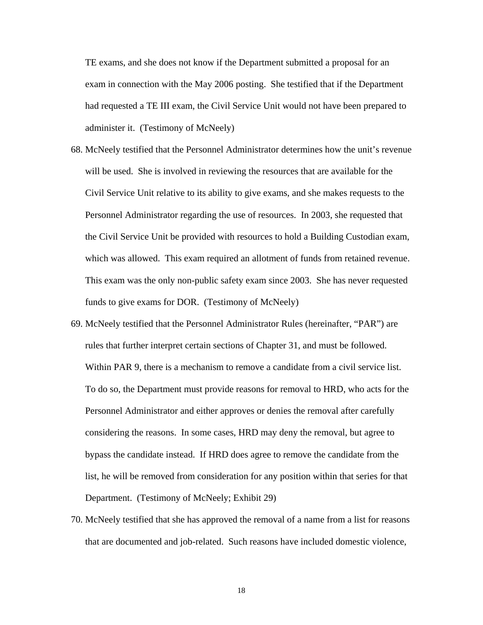TE exams, and she does not know if the Department submitted a proposal for an exam in connection with the May 2006 posting. She testified that if the Department had requested a TE III exam, the Civil Service Unit would not have been prepared to administer it. (Testimony of McNeely)

- 68. McNeely testified that the Personnel Administrator determines how the unit's revenue will be used. She is involved in reviewing the resources that are available for the Civil Service Unit relative to its ability to give exams, and she makes requests to the Personnel Administrator regarding the use of resources. In 2003, she requested that the Civil Service Unit be provided with resources to hold a Building Custodian exam, which was allowed. This exam required an allotment of funds from retained revenue. This exam was the only non-public safety exam since 2003. She has never requested funds to give exams for DOR. (Testimony of McNeely)
- 69. McNeely testified that the Personnel Administrator Rules (hereinafter, "PAR") are rules that further interpret certain sections of Chapter 31, and must be followed. Within PAR 9, there is a mechanism to remove a candidate from a civil service list. To do so, the Department must provide reasons for removal to HRD, who acts for the Personnel Administrator and either approves or denies the removal after carefully considering the reasons. In some cases, HRD may deny the removal, but agree to bypass the candidate instead. If HRD does agree to remove the candidate from the list, he will be removed from consideration for any position within that series for that Department. (Testimony of McNeely; Exhibit 29)
- 70. McNeely testified that she has approved the removal of a name from a list for reasons that are documented and job-related. Such reasons have included domestic violence,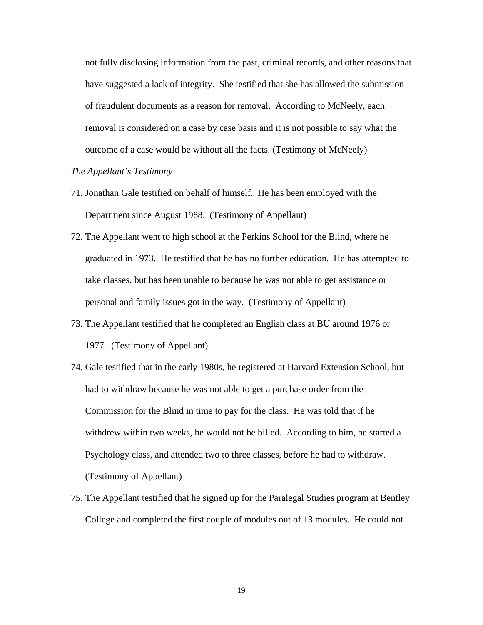not fully disclosing information from the past, criminal records, and other reasons that have suggested a lack of integrity. She testified that she has allowed the submission of fraudulent documents as a reason for removal. According to McNeely, each removal is considered on a case by case basis and it is not possible to say what the outcome of a case would be without all the facts. (Testimony of McNeely)

# *The Appellant's Testimony*

- 71. Jonathan Gale testified on behalf of himself. He has been employed with the Department since August 1988. (Testimony of Appellant)
- 72. The Appellant went to high school at the Perkins School for the Blind, where he graduated in 1973. He testified that he has no further education. He has attempted to take classes, but has been unable to because he was not able to get assistance or personal and family issues got in the way. (Testimony of Appellant)
- 73. The Appellant testified that he completed an English class at BU around 1976 or 1977. (Testimony of Appellant)
- 74. Gale testified that in the early 1980s, he registered at Harvard Extension School, but had to withdraw because he was not able to get a purchase order from the Commission for the Blind in time to pay for the class. He was told that if he withdrew within two weeks, he would not be billed. According to him, he started a Psychology class, and attended two to three classes, before he had to withdraw. (Testimony of Appellant)
- 75. The Appellant testified that he signed up for the Paralegal Studies program at Bentley College and completed the first couple of modules out of 13 modules. He could not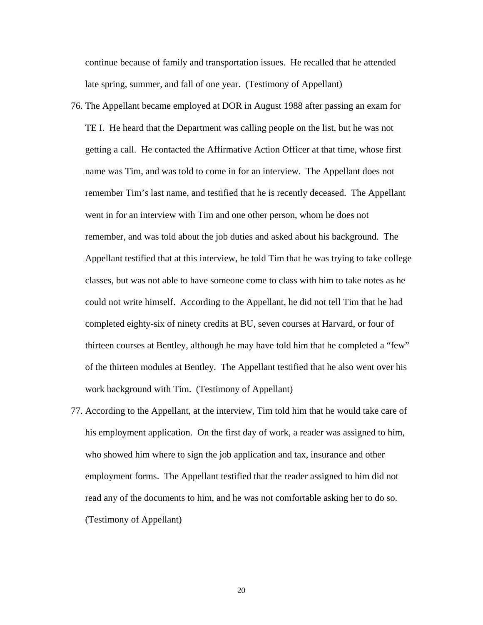continue because of family and transportation issues. He recalled that he attended late spring, summer, and fall of one year. (Testimony of Appellant)

- 76. The Appellant became employed at DOR in August 1988 after passing an exam for TE I. He heard that the Department was calling people on the list, but he was not getting a call. He contacted the Affirmative Action Officer at that time, whose first name was Tim, and was told to come in for an interview. The Appellant does not remember Tim's last name, and testified that he is recently deceased. The Appellant went in for an interview with Tim and one other person, whom he does not remember, and was told about the job duties and asked about his background. The Appellant testified that at this interview, he told Tim that he was trying to take college classes, but was not able to have someone come to class with him to take notes as he could not write himself. According to the Appellant, he did not tell Tim that he had completed eighty-six of ninety credits at BU, seven courses at Harvard, or four of thirteen courses at Bentley, although he may have told him that he completed a "few" of the thirteen modules at Bentley. The Appellant testified that he also went over his work background with Tim. (Testimony of Appellant)
- 77. According to the Appellant, at the interview, Tim told him that he would take care of his employment application. On the first day of work, a reader was assigned to him, who showed him where to sign the job application and tax, insurance and other employment forms. The Appellant testified that the reader assigned to him did not read any of the documents to him, and he was not comfortable asking her to do so. (Testimony of Appellant)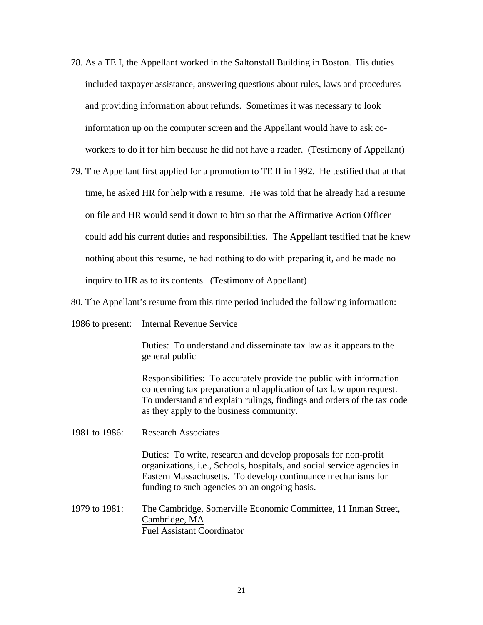- 78. As a TE I, the Appellant worked in the Saltonstall Building in Boston. His duties included taxpayer assistance, answering questions about rules, laws and procedures and providing information about refunds. Sometimes it was necessary to look information up on the computer screen and the Appellant would have to ask coworkers to do it for him because he did not have a reader. (Testimony of Appellant)
- 79. The Appellant first applied for a promotion to TE II in 1992. He testified that at that time, he asked HR for help with a resume. He was told that he already had a resume on file and HR would send it down to him so that the Affirmative Action Officer could add his current duties and responsibilities. The Appellant testified that he knew nothing about this resume, he had nothing to do with preparing it, and he made no inquiry to HR as to its contents. (Testimony of Appellant)
- 80. The Appellant's resume from this time period included the following information:
- 1986 to present: Internal Revenue Service

Duties: To understand and disseminate tax law as it appears to the general public

Responsibilities: To accurately provide the public with information concerning tax preparation and application of tax law upon request. To understand and explain rulings, findings and orders of the tax code as they apply to the business community.

1981 to 1986: Research Associates

Duties: To write, research and develop proposals for non-profit organizations, i.e., Schools, hospitals, and social service agencies in Eastern Massachusetts. To develop continuance mechanisms for funding to such agencies on an ongoing basis.

1979 to 1981: The Cambridge, Somerville Economic Committee, 11 Inman Street, Cambridge, MA Fuel Assistant Coordinator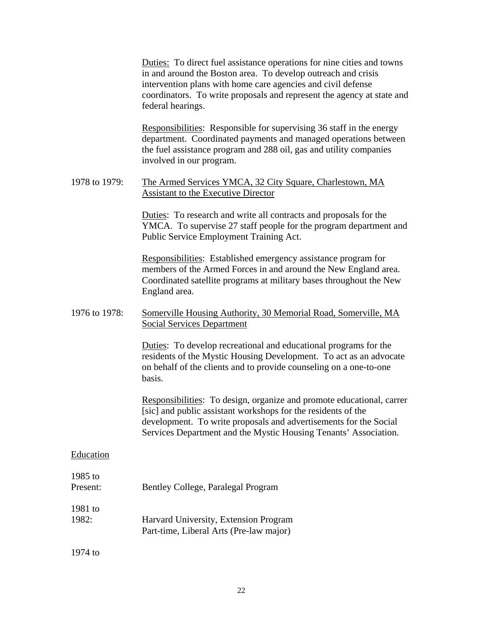Duties: To direct fuel assistance operations for nine cities and towns in and around the Boston area. To develop outreach and crisis intervention plans with home care agencies and civil defense coordinators. To write proposals and represent the agency at state and federal hearings.

Responsibilities: Responsible for supervising 36 staff in the energy department. Coordinated payments and managed operations between the fuel assistance program and 288 oil, gas and utility companies involved in our program.

# 1978 to 1979: The Armed Services YMCA, 32 City Square, Charlestown, MA Assistant to the Executive Director

Duties: To research and write all contracts and proposals for the YMCA. To supervise 27 staff people for the program department and Public Service Employment Training Act.

Responsibilities: Established emergency assistance program for members of the Armed Forces in and around the New England area. Coordinated satellite programs at military bases throughout the New England area.

# 1976 to 1978: Somerville Housing Authority, 30 Memorial Road, Somerville, MA Social Services Department

Duties: To develop recreational and educational programs for the residents of the Mystic Housing Development. To act as an advocate on behalf of the clients and to provide counseling on a one-to-one basis.

Responsibilities: To design, organize and promote educational, carrer [sic] and public assistant workshops for the residents of the development. To write proposals and advertisements for the Social Services Department and the Mystic Housing Tenants' Association.

# Education

# 1985 to Present: Bentley College, Paralegal Program 1981 to 1982: Harvard University, Extension Program Part-time, Liberal Arts (Pre-law major)

1974 to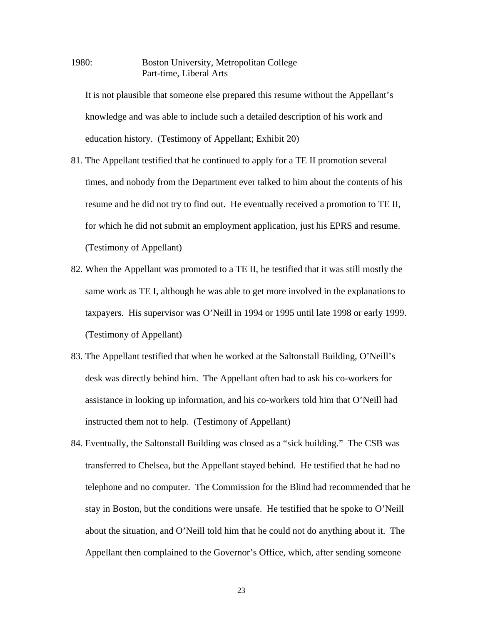1980: Boston University, Metropolitan College Part-time, Liberal Arts

It is not plausible that someone else prepared this resume without the Appellant's knowledge and was able to include such a detailed description of his work and education history. (Testimony of Appellant; Exhibit 20)

- 81. The Appellant testified that he continued to apply for a TE II promotion several times, and nobody from the Department ever talked to him about the contents of his resume and he did not try to find out. He eventually received a promotion to TE II, for which he did not submit an employment application, just his EPRS and resume. (Testimony of Appellant)
- 82. When the Appellant was promoted to a TE II, he testified that it was still mostly the same work as TE I, although he was able to get more involved in the explanations to taxpayers. His supervisor was O'Neill in 1994 or 1995 until late 1998 or early 1999. (Testimony of Appellant)
- 83. The Appellant testified that when he worked at the Saltonstall Building, O'Neill's desk was directly behind him. The Appellant often had to ask his co-workers for assistance in looking up information, and his co-workers told him that O'Neill had instructed them not to help. (Testimony of Appellant)
- 84. Eventually, the Saltonstall Building was closed as a "sick building." The CSB was transferred to Chelsea, but the Appellant stayed behind. He testified that he had no telephone and no computer. The Commission for the Blind had recommended that he stay in Boston, but the conditions were unsafe. He testified that he spoke to O'Neill about the situation, and O'Neill told him that he could not do anything about it. The Appellant then complained to the Governor's Office, which, after sending someone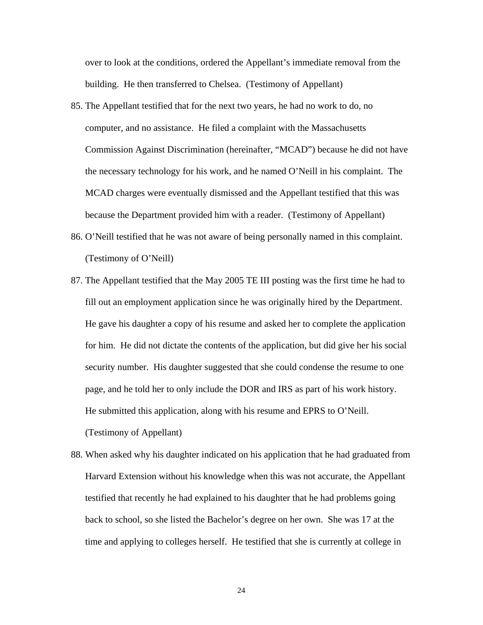over to look at the conditions, ordered the Appellant's immediate removal from the building. He then transferred to Chelsea. (Testimony of Appellant)

- 85. The Appellant testified that for the next two years, he had no work to do, no computer, and no assistance. He filed a complaint with the Massachusetts Commission Against Discrimination (hereinafter, "MCAD") because he did not have the necessary technology for his work, and he named O'Neill in his complaint. The MCAD charges were eventually dismissed and the Appellant testified that this was because the Department provided him with a reader. (Testimony of Appellant)
- 86. O'Neill testified that he was not aware of being personally named in this complaint. (Testimony of O'Neill)
- 87. The Appellant testified that the May 2005 TE III posting was the first time he had to fill out an employment application since he was originally hired by the Department. He gave his daughter a copy of his resume and asked her to complete the application for him. He did not dictate the contents of the application, but did give her his social security number. His daughter suggested that she could condense the resume to one page, and he told her to only include the DOR and IRS as part of his work history. He submitted this application, along with his resume and EPRS to O'Neill. (Testimony of Appellant)
- 88. When asked why his daughter indicated on his application that he had graduated from Harvard Extension without his knowledge when this was not accurate, the Appellant testified that recently he had explained to his daughter that he had problems going back to school, so she listed the Bachelor's degree on her own. She was 17 at the time and applying to colleges herself. He testified that she is currently at college in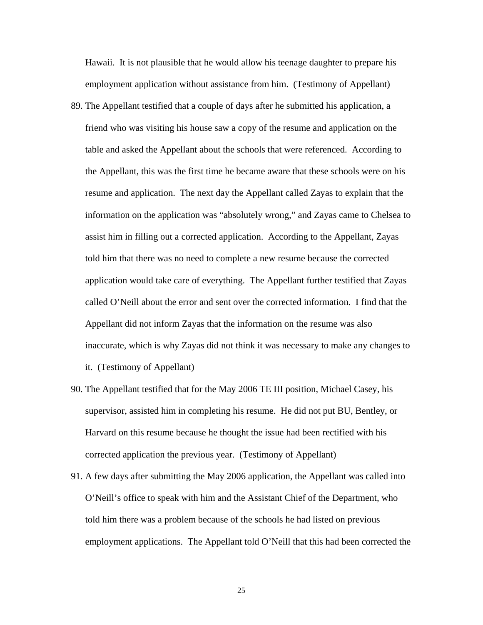Hawaii. It is not plausible that he would allow his teenage daughter to prepare his employment application without assistance from him. (Testimony of Appellant)

- 89. The Appellant testified that a couple of days after he submitted his application, a friend who was visiting his house saw a copy of the resume and application on the table and asked the Appellant about the schools that were referenced. According to the Appellant, this was the first time he became aware that these schools were on his resume and application. The next day the Appellant called Zayas to explain that the information on the application was "absolutely wrong," and Zayas came to Chelsea to assist him in filling out a corrected application. According to the Appellant, Zayas told him that there was no need to complete a new resume because the corrected application would take care of everything. The Appellant further testified that Zayas called O'Neill about the error and sent over the corrected information. I find that the Appellant did not inform Zayas that the information on the resume was also inaccurate, which is why Zayas did not think it was necessary to make any changes to it. (Testimony of Appellant)
- 90. The Appellant testified that for the May 2006 TE III position, Michael Casey, his supervisor, assisted him in completing his resume. He did not put BU, Bentley, or Harvard on this resume because he thought the issue had been rectified with his corrected application the previous year. (Testimony of Appellant)
- 91. A few days after submitting the May 2006 application, the Appellant was called into O'Neill's office to speak with him and the Assistant Chief of the Department, who told him there was a problem because of the schools he had listed on previous employment applications. The Appellant told O'Neill that this had been corrected the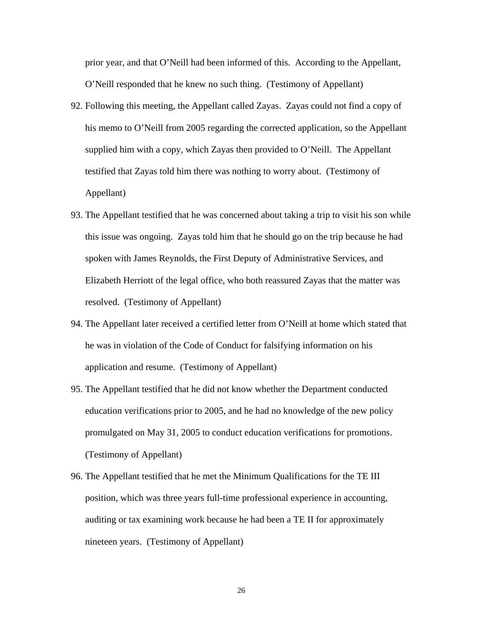prior year, and that O'Neill had been informed of this. According to the Appellant, O'Neill responded that he knew no such thing. (Testimony of Appellant)

- 92. Following this meeting, the Appellant called Zayas. Zayas could not find a copy of his memo to O'Neill from 2005 regarding the corrected application, so the Appellant supplied him with a copy, which Zayas then provided to O'Neill. The Appellant testified that Zayas told him there was nothing to worry about. (Testimony of Appellant)
- 93. The Appellant testified that he was concerned about taking a trip to visit his son while this issue was ongoing. Zayas told him that he should go on the trip because he had spoken with James Reynolds, the First Deputy of Administrative Services, and Elizabeth Herriott of the legal office, who both reassured Zayas that the matter was resolved. (Testimony of Appellant)
- 94. The Appellant later received a certified letter from O'Neill at home which stated that he was in violation of the Code of Conduct for falsifying information on his application and resume. (Testimony of Appellant)
- 95. The Appellant testified that he did not know whether the Department conducted education verifications prior to 2005, and he had no knowledge of the new policy promulgated on May 31, 2005 to conduct education verifications for promotions. (Testimony of Appellant)
- 96. The Appellant testified that he met the Minimum Qualifications for the TE III position, which was three years full-time professional experience in accounting, auditing or tax examining work because he had been a TE II for approximately nineteen years. (Testimony of Appellant)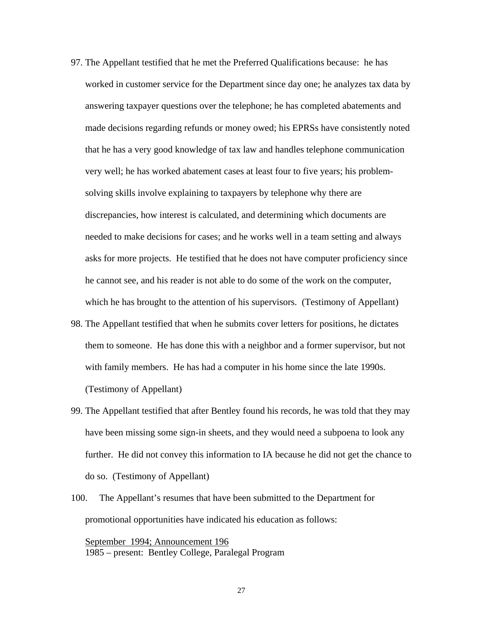- 97. The Appellant testified that he met the Preferred Qualifications because: he has worked in customer service for the Department since day one; he analyzes tax data by answering taxpayer questions over the telephone; he has completed abatements and made decisions regarding refunds or money owed; his EPRSs have consistently noted that he has a very good knowledge of tax law and handles telephone communication very well; he has worked abatement cases at least four to five years; his problemsolving skills involve explaining to taxpayers by telephone why there are discrepancies, how interest is calculated, and determining which documents are needed to make decisions for cases; and he works well in a team setting and always asks for more projects. He testified that he does not have computer proficiency since he cannot see, and his reader is not able to do some of the work on the computer, which he has brought to the attention of his supervisors. (Testimony of Appellant)
- 98. The Appellant testified that when he submits cover letters for positions, he dictates them to someone. He has done this with a neighbor and a former supervisor, but not with family members. He has had a computer in his home since the late 1990s. (Testimony of Appellant)
- 99. The Appellant testified that after Bentley found his records, he was told that they may have been missing some sign-in sheets, and they would need a subpoena to look any further. He did not convey this information to IA because he did not get the chance to do so. (Testimony of Appellant)
- 100. The Appellant's resumes that have been submitted to the Department for promotional opportunities have indicated his education as follows:

September 1994; Announcement 196 1985 – present: Bentley College, Paralegal Program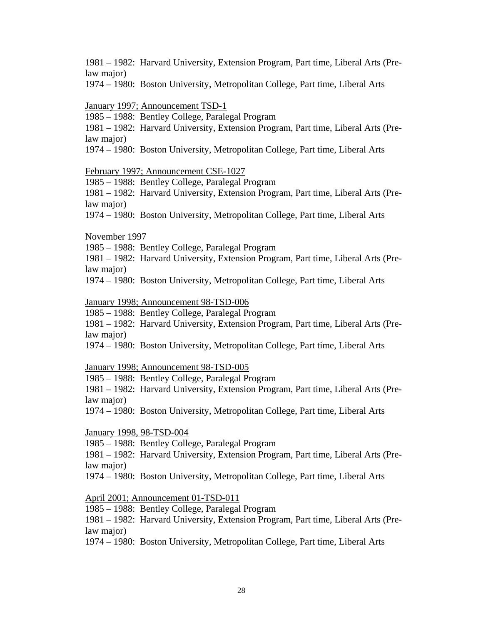1981 – 1982: Harvard University, Extension Program, Part time, Liberal Arts (Prelaw major)

1974 – 1980: Boston University, Metropolitan College, Part time, Liberal Arts

January 1997; Announcement TSD-1

1985 – 1988: Bentley College, Paralegal Program

1981 – 1982: Harvard University, Extension Program, Part time, Liberal Arts (Prelaw major)

1974 – 1980: Boston University, Metropolitan College, Part time, Liberal Arts

February 1997; Announcement CSE-1027

1985 – 1988: Bentley College, Paralegal Program

1981 – 1982: Harvard University, Extension Program, Part time, Liberal Arts (Prelaw major)

1974 – 1980: Boston University, Metropolitan College, Part time, Liberal Arts

November 1997

1985 – 1988: Bentley College, Paralegal Program

1981 – 1982: Harvard University, Extension Program, Part time, Liberal Arts (Prelaw major)

1974 – 1980: Boston University, Metropolitan College, Part time, Liberal Arts

January 1998; Announcement 98-TSD-006

1985 – 1988: Bentley College, Paralegal Program

1981 – 1982: Harvard University, Extension Program, Part time, Liberal Arts (Prelaw major)

1974 – 1980: Boston University, Metropolitan College, Part time, Liberal Arts

January 1998; Announcement 98-TSD-005

1985 – 1988: Bentley College, Paralegal Program

1981 – 1982: Harvard University, Extension Program, Part time, Liberal Arts (Prelaw major)

1974 – 1980: Boston University, Metropolitan College, Part time, Liberal Arts

January 1998, 98-TSD-004

1985 – 1988: Bentley College, Paralegal Program

1981 – 1982: Harvard University, Extension Program, Part time, Liberal Arts (Prelaw major)

1974 – 1980: Boston University, Metropolitan College, Part time, Liberal Arts

April 2001; Announcement 01-TSD-011

1985 – 1988: Bentley College, Paralegal Program

1981 – 1982: Harvard University, Extension Program, Part time, Liberal Arts (Prelaw major)

1974 – 1980: Boston University, Metropolitan College, Part time, Liberal Arts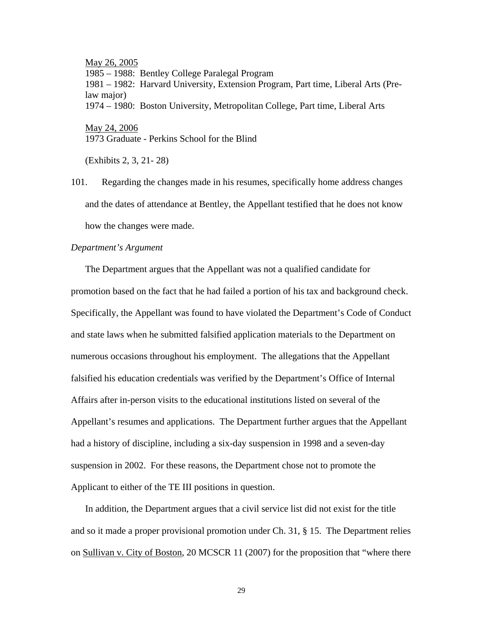May 26, 2005 1985 – 1988: Bentley College Paralegal Program 1981 – 1982: Harvard University, Extension Program, Part time, Liberal Arts (Prelaw major) 1974 – 1980: Boston University, Metropolitan College, Part time, Liberal Arts May 24, 2006 1973 Graduate - Perkins School for the Blind

(Exhibits 2, 3, 21- 28)

101. Regarding the changes made in his resumes, specifically home address changes and the dates of attendance at Bentley, the Appellant testified that he does not know how the changes were made.

## *Department's Argument*

 The Department argues that the Appellant was not a qualified candidate for promotion based on the fact that he had failed a portion of his tax and background check. Specifically, the Appellant was found to have violated the Department's Code of Conduct and state laws when he submitted falsified application materials to the Department on numerous occasions throughout his employment. The allegations that the Appellant falsified his education credentials was verified by the Department's Office of Internal Affairs after in-person visits to the educational institutions listed on several of the Appellant's resumes and applications. The Department further argues that the Appellant had a history of discipline, including a six-day suspension in 1998 and a seven-day suspension in 2002. For these reasons, the Department chose not to promote the Applicant to either of the TE III positions in question.

 In addition, the Department argues that a civil service list did not exist for the title and so it made a proper provisional promotion under Ch. 31, § 15. The Department relies on Sullivan v. City of Boston, 20 MCSCR 11 (2007) for the proposition that "where there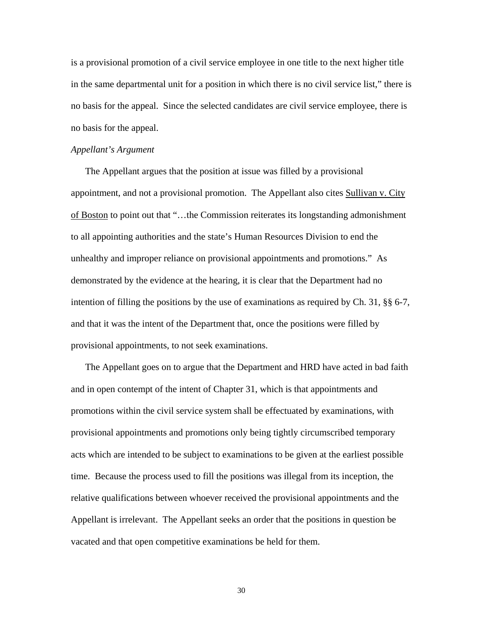is a provisional promotion of a civil service employee in one title to the next higher title in the same departmental unit for a position in which there is no civil service list," there is no basis for the appeal. Since the selected candidates are civil service employee, there is no basis for the appeal.

#### *Appellant's Argument*

 The Appellant argues that the position at issue was filled by a provisional appointment, and not a provisional promotion. The Appellant also cites Sullivan v. City of Boston to point out that "…the Commission reiterates its longstanding admonishment to all appointing authorities and the state's Human Resources Division to end the unhealthy and improper reliance on provisional appointments and promotions." As demonstrated by the evidence at the hearing, it is clear that the Department had no intention of filling the positions by the use of examinations as required by Ch. 31, §§ 6-7, and that it was the intent of the Department that, once the positions were filled by provisional appointments, to not seek examinations.

 The Appellant goes on to argue that the Department and HRD have acted in bad faith and in open contempt of the intent of Chapter 31, which is that appointments and promotions within the civil service system shall be effectuated by examinations, with provisional appointments and promotions only being tightly circumscribed temporary acts which are intended to be subject to examinations to be given at the earliest possible time. Because the process used to fill the positions was illegal from its inception, the relative qualifications between whoever received the provisional appointments and the Appellant is irrelevant. The Appellant seeks an order that the positions in question be vacated and that open competitive examinations be held for them.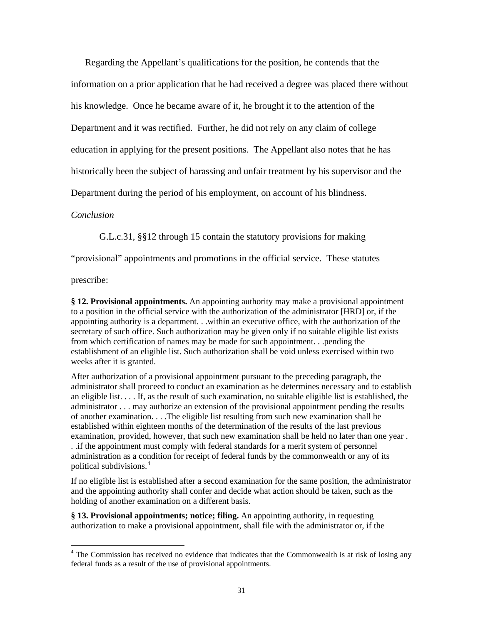Regarding the Appellant's qualifications for the position, he contends that the information on a prior application that he had received a degree was placed there without his knowledge. Once he became aware of it, he brought it to the attention of the Department and it was rectified. Further, he did not rely on any claim of college education in applying for the present positions. The Appellant also notes that he has historically been the subject of harassing and unfair treatment by his supervisor and the Department during the period of his employment, on account of his blindness.

## *Conclusion*

G.L.c.31, §§12 through 15 contain the statutory provisions for making

"provisional" appointments and promotions in the official service. These statutes

prescribe:

 $\overline{a}$ 

**§ 12. Provisional appointments.** An appointing authority may make a provisional appointment to a position in the official service with the authorization of the administrator [HRD] or, if the appointing authority is a department. . .within an executive office, with the authorization of the secretary of such office. Such authorization may be given only if no suitable eligible list exists from which certification of names may be made for such appointment. . .pending the establishment of an eligible list. Such authorization shall be void unless exercised within two weeks after it is granted.

After authorization of a provisional appointment pursuant to the preceding paragraph, the administrator shall proceed to conduct an examination as he determines necessary and to establish an eligible list. . . . If, as the result of such examination, no suitable eligible list is established, the administrator . . . may authorize an extension of the provisional appointment pending the results of another examination. . . .The eligible list resulting from such new examination shall be established within eighteen months of the determination of the results of the last previous examination, provided, however, that such new examination shall be held no later than one year . . .if the appointment must comply with federal standards for a merit system of personnel administration as a condition for receipt of federal funds by the commonwealth or any of its political subdivisions.<sup>[4](#page-30-0)</sup>

If no eligible list is established after a second examination for the same position, the administrator and the appointing authority shall confer and decide what action should be taken, such as the holding of another examination on a different basis.

**§ 13. Provisional appointments; notice; filing.** An appointing authority, in requesting authorization to make a provisional appointment, shall file with the administrator or, if the

<span id="page-30-0"></span><sup>&</sup>lt;sup>4</sup> The Commission has received no evidence that indicates that the Commonwealth is at risk of losing any federal funds as a result of the use of provisional appointments.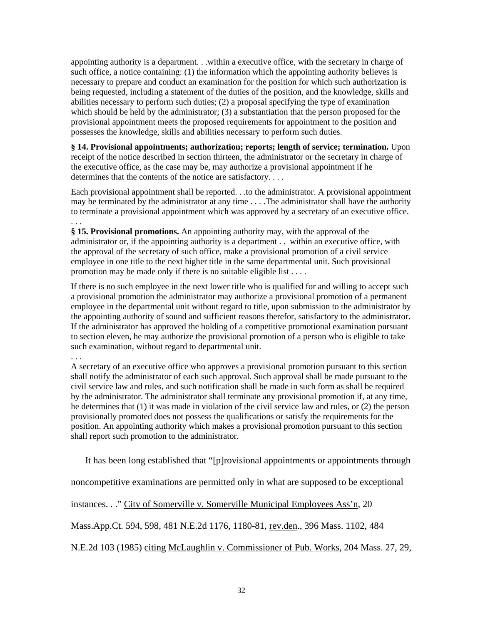appointing authority is a department. . .within a executive office, with the secretary in charge of such office, a notice containing: (1) the information which the appointing authority believes is necessary to prepare and conduct an examination for the position for which such authorization is being requested, including a statement of the duties of the position, and the knowledge, skills and abilities necessary to perform such duties; (2) a proposal specifying the type of examination which should be held by the administrator; (3) a substantiation that the person proposed for the provisional appointment meets the proposed requirements for appointment to the position and possesses the knowledge, skills and abilities necessary to perform such duties.

**§ 14. Provisional appointments; authorization; reports; length of service; termination.** Upon receipt of the notice described in [section thirteen](http://web2.westlaw.com/find/default.wl?tf=-1&rs=WLW8.11&ifm=NotSet&fn=_top&sv=Split&tc=-1&docname=MAST31S13&ordoc=1529759&findtype=L&db=1000042&utid=1&vr=2.0&rp=%2ffind%2fdefault.wl&mt=Massachusetts), the administrator or the secretary in charge of the executive office, as the case may be, may authorize a provisional appointment if he determines that the contents of the notice are satisfactory....

Each provisional appointment shall be reported. . .to the administrator. A provisional appointment may be terminated by the administrator at any time . . . .The administrator shall have the authority to terminate a provisional appointment which was approved by a secretary of an executive office. . . .

**§ 15. Provisional promotions.** An appointing authority may, with the approval of the administrator or, if the appointing authority is a department . . within an executive office, with the approval of the secretary of such office, make a provisional promotion of a civil service employee in one title to the next higher title in the same departmental unit. Such provisional promotion may be made only if there is no suitable eligible list . . . .

If there is no such employee in the next lower title who is qualified for and willing to accept such a provisional promotion the administrator may authorize a provisional promotion of a permanent employee in the departmental unit without regard to title, upon submission to the administrator by the appointing authority of sound and sufficient reasons therefor, satisfactory to the administrator. If the administrator has approved the holding of a competitive promotional examination pursuant to [section eleven,](http://web2.westlaw.com/find/default.wl?tf=-1&rs=WLW8.11&ifm=NotSet&fn=_top&sv=Split&tc=-1&docname=MAST31S11&ordoc=1529760&findtype=L&db=1000042&utid=1&vr=2.0&rp=%2ffind%2fdefault.wl&mt=Massachusetts) he may authorize the provisional promotion of a person who is eligible to take such examination, without regard to departmental unit.

## . . .

A secretary of an executive office who approves a provisional promotion pursuant to this section shall notify the administrator of each such approval. Such approval shall be made pursuant to the civil service law and rules, and such notification shall be made in such form as shall be required by the administrator. The administrator shall terminate any provisional promotion if, at any time, he determines that (1) it was made in violation of the civil service law and rules, or (2) the person provisionally promoted does not possess the qualifications or satisfy the requirements for the position. An appointing authority which makes a provisional promotion pursuant to this section shall report such promotion to the administrator.

It has been long established that "[p]rovisional appointments or appointments through

noncompetitive examinations are permitted only in what are supposed to be exceptional

instances. . ." City of Somerville v. Somerville Municipal Employees Ass'n, 20

Mass.App.Ct. 594, 598, 481 N.E.2d 1176, 1180-81, rev.den., 396 Mass. 1102, 484

N.E.2d 103 (1985) citing McLaughlin v. Commissioner of Pub. Works, 204 Mass. 27, 29,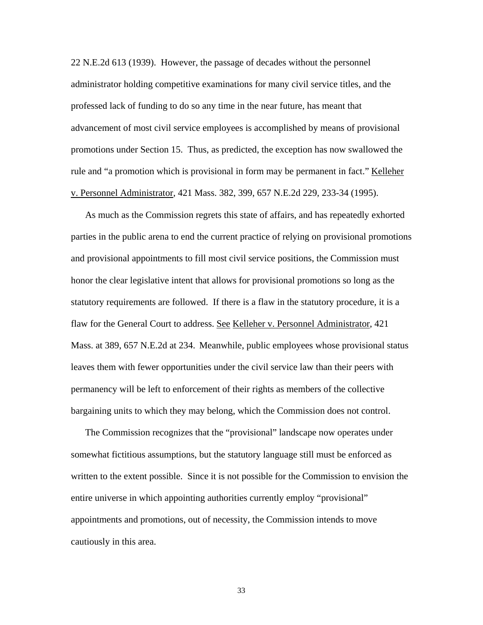22 N.E.2d 613 (1939). However, the passage of decades without the personnel administrator holding competitive examinations for many civil service titles, and the professed lack of funding to do so any time in the near future, has meant that advancement of most civil service employees is accomplished by means of provisional promotions under Section 15. Thus, as predicted, the exception has now swallowed the rule and "a promotion which is provisional in form may be permanent in fact." Kelleher v. Personnel Administrator, 421 Mass. 382, 399, 657 N.E.2d 229, 233-34 (1995).

As much as the Commission regrets this state of affairs, and has repeatedly exhorted parties in the public arena to end the current practice of relying on provisional promotions and provisional appointments to fill most civil service positions, the Commission must honor the clear legislative intent that allows for provisional promotions so long as the statutory requirements are followed. If there is a flaw in the statutory procedure, it is a flaw for the General Court to address. See Kelleher v. Personnel Administrator, 421 Mass. at 389, 657 N.E.2d at 234. Meanwhile, public employees whose provisional status leaves them with fewer opportunities under the civil service law than their peers with permanency will be left to enforcement of their rights as members of the collective bargaining units to which they may belong, which the Commission does not control.

The Commission recognizes that the "provisional" landscape now operates under somewhat fictitious assumptions, but the statutory language still must be enforced as written to the extent possible. Since it is not possible for the Commission to envision the entire universe in which appointing authorities currently employ "provisional" appointments and promotions, out of necessity, the Commission intends to move cautiously in this area.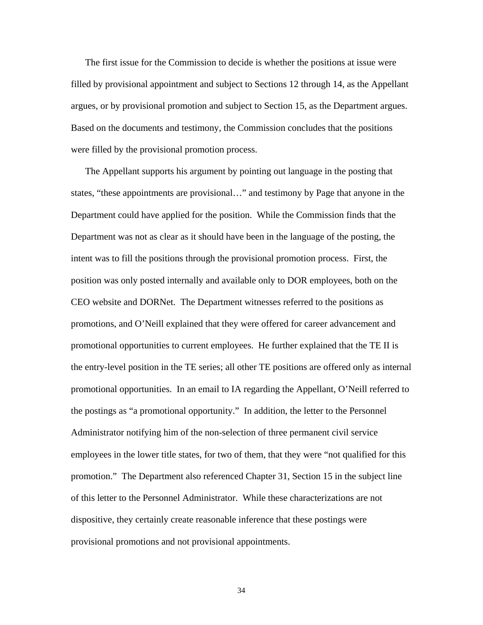The first issue for the Commission to decide is whether the positions at issue were filled by provisional appointment and subject to Sections 12 through 14, as the Appellant argues, or by provisional promotion and subject to Section 15, as the Department argues. Based on the documents and testimony, the Commission concludes that the positions were filled by the provisional promotion process.

The Appellant supports his argument by pointing out language in the posting that states, "these appointments are provisional…" and testimony by Page that anyone in the Department could have applied for the position. While the Commission finds that the Department was not as clear as it should have been in the language of the posting, the intent was to fill the positions through the provisional promotion process. First, the position was only posted internally and available only to DOR employees, both on the CEO website and DORNet. The Department witnesses referred to the positions as promotions, and O'Neill explained that they were offered for career advancement and promotional opportunities to current employees. He further explained that the TE II is the entry-level position in the TE series; all other TE positions are offered only as internal promotional opportunities. In an email to IA regarding the Appellant, O'Neill referred to the postings as "a promotional opportunity." In addition, the letter to the Personnel Administrator notifying him of the non-selection of three permanent civil service employees in the lower title states, for two of them, that they were "not qualified for this promotion." The Department also referenced Chapter 31, Section 15 in the subject line of this letter to the Personnel Administrator. While these characterizations are not dispositive, they certainly create reasonable inference that these postings were provisional promotions and not provisional appointments.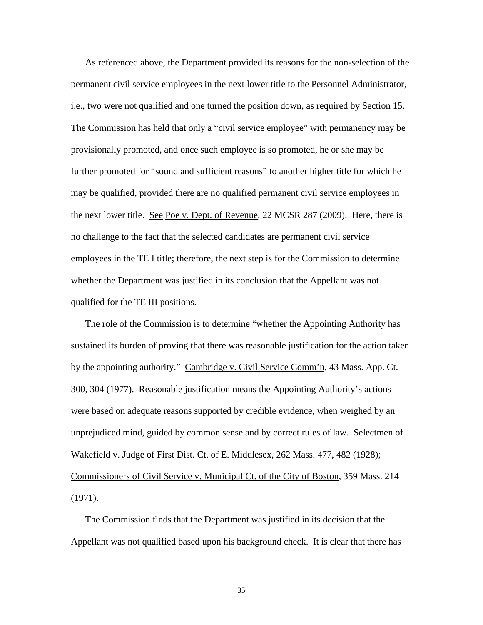As referenced above, the Department provided its reasons for the non-selection of the permanent civil service employees in the next lower title to the Personnel Administrator, i.e., two were not qualified and one turned the position down, as required by Section 15. The Commission has held that only a "civil service employee" with permanency may be provisionally promoted, and once such employee is so promoted, he or she may be further promoted for "sound and sufficient reasons" to another higher title for which he may be qualified, provided there are no qualified permanent civil service employees in the next lower title. See Poe v. Dept. of Revenue, 22 MCSR 287 (2009). Here, there is no challenge to the fact that the selected candidates are permanent civil service employees in the TE I title; therefore, the next step is for the Commission to determine whether the Department was justified in its conclusion that the Appellant was not qualified for the TE III positions.

The role of the Commission is to determine "whether the Appointing Authority has sustained its burden of proving that there was reasonable justification for the action taken by the appointing authority." Cambridge v. Civil Service Comm'n, 43 Mass. App. Ct. 300, 304 (1977). Reasonable justification means the Appointing Authority's actions were based on adequate reasons supported by credible evidence, when weighed by an unprejudiced mind, guided by common sense and by correct rules of law. Selectmen of Wakefield v. Judge of First Dist. Ct. of E. Middlesex, 262 Mass. 477, 482 (1928); Commissioners of Civil Service v. Municipal Ct. of the City of Boston, 359 Mass. 214 (1971).

The Commission finds that the Department was justified in its decision that the Appellant was not qualified based upon his background check. It is clear that there has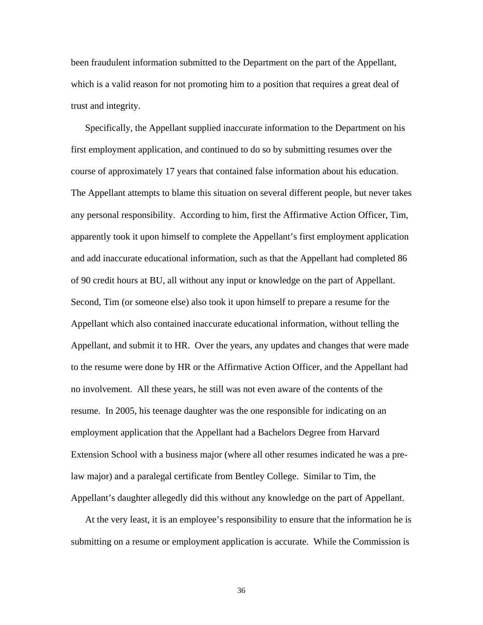been fraudulent information submitted to the Department on the part of the Appellant, which is a valid reason for not promoting him to a position that requires a great deal of trust and integrity.

Specifically, the Appellant supplied inaccurate information to the Department on his first employment application, and continued to do so by submitting resumes over the course of approximately 17 years that contained false information about his education. The Appellant attempts to blame this situation on several different people, but never takes any personal responsibility. According to him, first the Affirmative Action Officer, Tim, apparently took it upon himself to complete the Appellant's first employment application and add inaccurate educational information, such as that the Appellant had completed 86 of 90 credit hours at BU, all without any input or knowledge on the part of Appellant. Second, Tim (or someone else) also took it upon himself to prepare a resume for the Appellant which also contained inaccurate educational information, without telling the Appellant, and submit it to HR. Over the years, any updates and changes that were made to the resume were done by HR or the Affirmative Action Officer, and the Appellant had no involvement. All these years, he still was not even aware of the contents of the resume. In 2005, his teenage daughter was the one responsible for indicating on an employment application that the Appellant had a Bachelors Degree from Harvard Extension School with a business major (where all other resumes indicated he was a prelaw major) and a paralegal certificate from Bentley College. Similar to Tim, the Appellant's daughter allegedly did this without any knowledge on the part of Appellant.

At the very least, it is an employee's responsibility to ensure that the information he is submitting on a resume or employment application is accurate. While the Commission is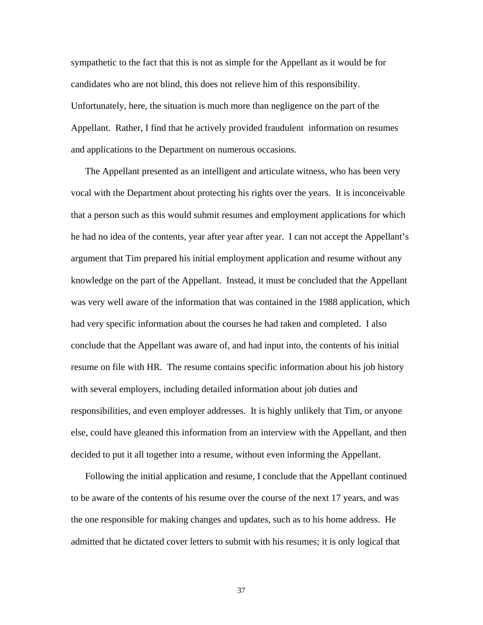sympathetic to the fact that this is not as simple for the Appellant as it would be for candidates who are not blind, this does not relieve him of this responsibility. Unfortunately, here, the situation is much more than negligence on the part of the Appellant. Rather, I find that he actively provided fraudulent information on resumes and applications to the Department on numerous occasions.

The Appellant presented as an intelligent and articulate witness, who has been very vocal with the Department about protecting his rights over the years. It is inconceivable that a person such as this would submit resumes and employment applications for which he had no idea of the contents, year after year after year. I can not accept the Appellant's argument that Tim prepared his initial employment application and resume without any knowledge on the part of the Appellant. Instead, it must be concluded that the Appellant was very well aware of the information that was contained in the 1988 application, which had very specific information about the courses he had taken and completed. I also conclude that the Appellant was aware of, and had input into, the contents of his initial resume on file with HR. The resume contains specific information about his job history with several employers, including detailed information about job duties and responsibilities, and even employer addresses. It is highly unlikely that Tim, or anyone else, could have gleaned this information from an interview with the Appellant, and then decided to put it all together into a resume, without even informing the Appellant.

Following the initial application and resume, I conclude that the Appellant continued to be aware of the contents of his resume over the course of the next 17 years, and was the one responsible for making changes and updates, such as to his home address. He admitted that he dictated cover letters to submit with his resumes; it is only logical that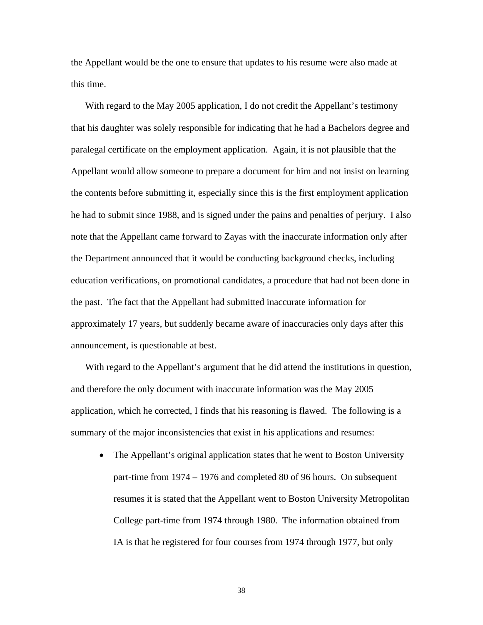the Appellant would be the one to ensure that updates to his resume were also made at this time.

With regard to the May 2005 application, I do not credit the Appellant's testimony that his daughter was solely responsible for indicating that he had a Bachelors degree and paralegal certificate on the employment application. Again, it is not plausible that the Appellant would allow someone to prepare a document for him and not insist on learning the contents before submitting it, especially since this is the first employment application he had to submit since 1988, and is signed under the pains and penalties of perjury. I also note that the Appellant came forward to Zayas with the inaccurate information only after the Department announced that it would be conducting background checks, including education verifications, on promotional candidates, a procedure that had not been done in the past. The fact that the Appellant had submitted inaccurate information for approximately 17 years, but suddenly became aware of inaccuracies only days after this announcement, is questionable at best.

With regard to the Appellant's argument that he did attend the institutions in question, and therefore the only document with inaccurate information was the May 2005 application, which he corrected, I finds that his reasoning is flawed. The following is a summary of the major inconsistencies that exist in his applications and resumes:

• The Appellant's original application states that he went to Boston University part-time from 1974 – 1976 and completed 80 of 96 hours. On subsequent resumes it is stated that the Appellant went to Boston University Metropolitan College part-time from 1974 through 1980. The information obtained from IA is that he registered for four courses from 1974 through 1977, but only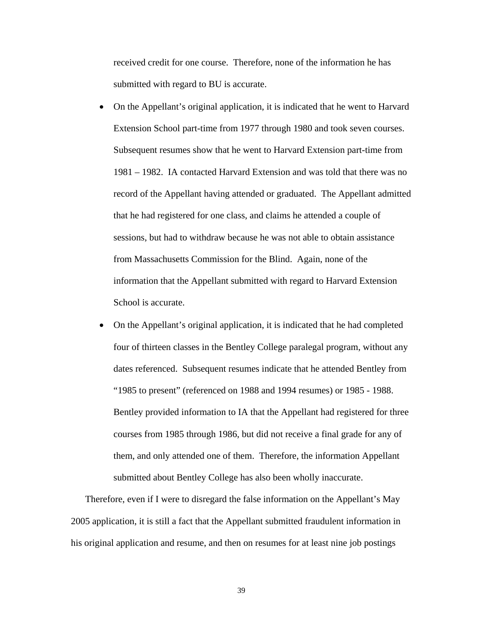received credit for one course. Therefore, none of the information he has submitted with regard to BU is accurate.

- On the Appellant's original application, it is indicated that he went to Harvard Extension School part-time from 1977 through 1980 and took seven courses. Subsequent resumes show that he went to Harvard Extension part-time from 1981 – 1982. IA contacted Harvard Extension and was told that there was no record of the Appellant having attended or graduated. The Appellant admitted that he had registered for one class, and claims he attended a couple of sessions, but had to withdraw because he was not able to obtain assistance from Massachusetts Commission for the Blind. Again, none of the information that the Appellant submitted with regard to Harvard Extension School is accurate.
- On the Appellant's original application, it is indicated that he had completed four of thirteen classes in the Bentley College paralegal program, without any dates referenced. Subsequent resumes indicate that he attended Bentley from "1985 to present" (referenced on 1988 and 1994 resumes) or 1985 - 1988. Bentley provided information to IA that the Appellant had registered for three courses from 1985 through 1986, but did not receive a final grade for any of them, and only attended one of them. Therefore, the information Appellant submitted about Bentley College has also been wholly inaccurate.

Therefore, even if I were to disregard the false information on the Appellant's May 2005 application, it is still a fact that the Appellant submitted fraudulent information in his original application and resume, and then on resumes for at least nine job postings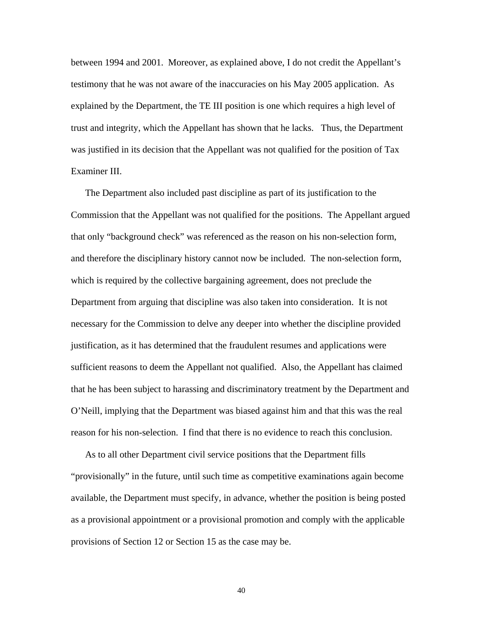between 1994 and 2001. Moreover, as explained above, I do not credit the Appellant's testimony that he was not aware of the inaccuracies on his May 2005 application. As explained by the Department, the TE III position is one which requires a high level of trust and integrity, which the Appellant has shown that he lacks. Thus, the Department was justified in its decision that the Appellant was not qualified for the position of Tax Examiner III.

The Department also included past discipline as part of its justification to the Commission that the Appellant was not qualified for the positions. The Appellant argued that only "background check" was referenced as the reason on his non-selection form, and therefore the disciplinary history cannot now be included. The non-selection form, which is required by the collective bargaining agreement, does not preclude the Department from arguing that discipline was also taken into consideration. It is not necessary for the Commission to delve any deeper into whether the discipline provided justification, as it has determined that the fraudulent resumes and applications were sufficient reasons to deem the Appellant not qualified. Also, the Appellant has claimed that he has been subject to harassing and discriminatory treatment by the Department and O'Neill, implying that the Department was biased against him and that this was the real reason for his non-selection. I find that there is no evidence to reach this conclusion.

As to all other Department civil service positions that the Department fills "provisionally" in the future, until such time as competitive examinations again become available, the Department must specify, in advance, whether the position is being posted as a provisional appointment or a provisional promotion and comply with the applicable provisions of Section 12 or Section 15 as the case may be.